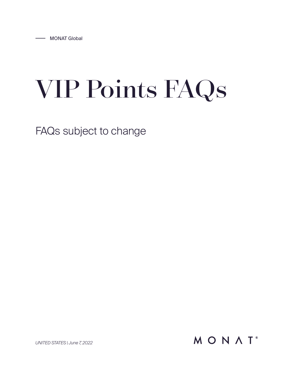# VIP Points FAQs

FAQs subject to change

MONAT<sup>®</sup>

*UNITED STATES | June 7, 2022*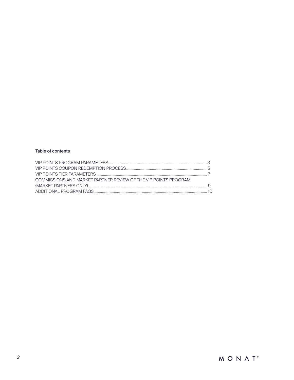## Table of contents

| COMMISSIONS AND MARKET PARTNER REVIEW OF THE VIP POINTS PROGRAM |  |
|-----------------------------------------------------------------|--|
|                                                                 |  |
|                                                                 |  |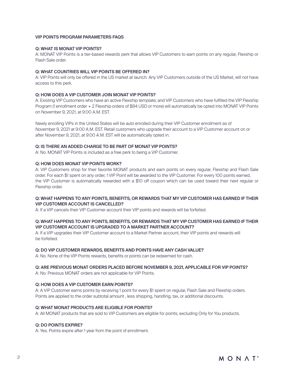#### VIP POINTS PROGRAM PARAMETERS FAQS

#### Q: WHAT IS MONAT VIP POINTS?

A: MONAT VIP Points is a tier-based rewards perk that allows VIP Customers to earn points on any regular, Flexship or Flash Sale order.

#### Q: WHAT COUNTRIES WILL VIP POINTS BE OFFERED IN?

A: VIP Points will only be offered in the US market at launch. Any VIP Customers outside of the US Market, will not have access to this perk.

#### Q: HOW DOES A VIP CUSTOMER JOIN MONAT VIP POINTS?

A: Existing VIP Customers who have an active Flexship template; and VIP Customers who have fulfilled the VIP Flexship Program (1 enrollment order + 2 Flexship orders of \$84 USD or more) will automatically be opted into MONAT VIP Points on November 9, 2021, at 9:00 A.M. EST.

Newly enrolling VIPs in the United States will be auto enrolled during their VIP Customer enrollment as of November 9, 2021 at 9:00 A.M. EST. Retail customers who upgrade their account to a VIP Customer account on or after November 9, 2021, at 9:00 A.M. EST will be automatically opted in.

## Q: IS THERE AN ADDED CHARGE TO BE PART OF MONAT VIP POINTS?

A: No. MONAT VIP Points is included as a free perk to being a VIP Customer.

#### Q: HOW DOES MONAT VIP POINTS WORK?

A: VIP Customers shop for their favorite MONAT products and earn points on every regular, Flexship and Flash Sale order. For each \$1 spent on any order, 1 VIP Point will be awarded to the VIP Customer. For every 100 points earned, the VIP Customer is automatically rewarded with a \$10 off coupon which can be used toward their next regular or Flexship order.

#### Q: WHAT HAPPENS TO ANY POINTS, BENEFITS, OR REWARDS THAT MY VIP CUSTOMER HAS EARNED IF THEIR VIP CUSTOMER ACCOUNT IS CANCELLED?

A: If a VIP cancels their VIP Customer account their VIP points and rewards will be forfeited.

## Q: WHAT HAPPENS TO ANY POINTS, BENEFITS, OR REWARDS THAT MY VIP CUSTOMER HAS EARNED IF THEIR VIP CUSTOMER ACCOUNT IS UPGRADED TO A MARKET PARTNER ACCOUNT?

A: If a VIP upgrades their VIP Customer account to a Market Partner account, their VIP points and rewards will be forfeited.

#### Q: DO VIP CUSTOMER REWARDS, BENEFITS AND POINTS HAVE ANY CASH VALUE?

A: No. None of the VIP Points rewards, benefits or points can be redeemed for cash.

#### Q: ARE PREVIOUS MONAT ORDERS PLACED BEFORE NOVEMBER 9, 2021, APPLICABLE FOR VIP POINTS?

A: No. Previous MONAT orders are not applicable for VIP Points.

## Q: HOW DOES A VIP CUSTOMER EARN POINTS?

A: A VIP Customer earns points by receiving 1 point for every \$1 spent on regular, Flash Sale and Flexship orders. Points are applied to the order subtotal amount , less shipping, handling, tax, or additional discounts.

#### Q: WHAT MONAT PRODUCTS ARE ELIGIBLE FOR POINTS?

A: All MONAT products that are sold to VIP Customers are eligible for points, excluding Only for You products.

#### Q: DO POINTS EXPIRE?

A: Yes. Points expire after 1 year from the point of enrollment.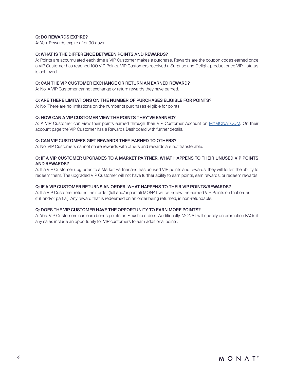## Q: DO REWARDS EXPIRE?

A: Yes. Rewards expire after 90 days.

## Q: WHAT IS THE DIFFERENCE BETWEEN POINTS AND REWARDS?

A: Points are accumulated each time a VIP Customer makes a purchase. Rewards are the coupon codes earned once a VIP Customer has reached 100 VIP Points. VIP Customers received a Surprise and Delight product once VIP+ status is achieved.

#### Q: CAN THE VIP CUSTOMER EXCHANGE OR RETURN AN EARNED REWARD?

A: No. A VIP Customer cannot exchange or return rewards they have earned.

#### Q: ARE THERE LIMITATIONS ON THE NUMBER OF PURCHASES ELIGIBLE FOR POINTS?

A: No. There are no limitations on the number of purchases eligible for points.

#### Q: HOW CAN A VIP CUSTOMER VIEW THE POINTS THEY'VE EARNED?

A: A VIP Customer can view their points earned through their VIP Customer Account on [MYMONAT.COM](http://MYMONAT.COM). On their account page the VIP Customer has a Rewards Dashboard with further details.

#### Q: CAN VIP CUSTOMERS GIFT REWARDS THEY EARNED TO OTHERS?

A: No. VIP Customers cannot share rewards with others and rewards are not transferable.

## Q: IF A VIP CUSTOMER UPGRADES TO A MARKET PARTNER, WHAT HAPPENS TO THEIR UNUSED VIP POINTS AND REWARDS?

A: If a VIP Customer upgrades to a Market Partner and has unused VIP points and rewards, they will forfeit the ability to redeem them. The upgraded VIP Customer will not have further ability to earn points, earn rewards, or redeem rewards.

#### Q: IF A VIP CUSTOMER RETURNS AN ORDER, WHAT HAPPENS TO THEIR VIP POINTS/REWARDS?

A: If a VIP Customer returns their order (full and/or partial) MONAT will withdraw the earned VIP Points on that order (full and/or partial). Any reward that is redeemed on an order being returned, is non-refundable.

## Q: DOES THE VIP CUSTOMER HAVE THE OPPORTUNITY TO EARN MORE POINTS?

A: Yes. VIP Customers can earn bonus points on Flexship orders. Additionally, MONAT will specify on promotion FAQs if any sales include an opportunity for VIP customers to earn additional points.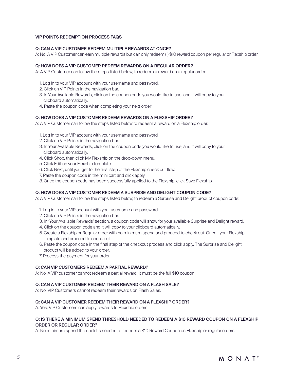#### VIP POINTS REDEMPTION PROCESS FAQS

#### Q: CAN A VIP CUSTOMER REDEEM MULTIPLE REWARDS AT ONCE?

A: No. A VIP Customer can earn multiple rewards but can only redeem (1) \$10 reward coupon per regular or Flexship order.

#### Q: HOW DOES A VIP CUSTOMER REDEEM REWARDS ON A REGULAR ORDER?

A: A VIP Customer can follow the steps listed below, to redeem a reward on a regular order:

- 1. Log in to your VIP account with your username and password.
- 2. Click on VIP Points in the navigation bar.
- 3. In Your Available Rewards, click on the coupon code you would like to use, and it will copy to your clipboard automatically.
- 4. Paste the coupon code when completing your next order\*

#### Q: HOW DOES A VIP CUSTOMER REDEEM REWARDS ON A FLEXSHIP ORDER?

A: A VIP Customer can follow the steps listed below to redeem a reward on a Flexship order:

- 1. Log in to your VIP account with your username and password
- 2. Click on VIP Points in the navigation bar.
- 3. In Your Available Rewards, click on the coupon code you would like to use, and it will copy to your clipboard automatically.
- 4. Click Shop, then click My Flexship on the drop-down menu.
- 5. Click Edit on your Flexship template.
- 6. Click Next, until you get to the final step of the Flexship check out flow.
- 7. Paste the coupon code in the mini cart and click apply.
- 8. Once the coupon code has been successfully applied to the Flexship, click Save Flexship.

## Q: HOW DOES A VIP CUSTOMER REDEEM A SURPRISE AND DELIGHT COUPON CODE?

A: A VIP Customer can follow the steps listed below, to redeem a Surprise and Delight product coupon code:

- 1. Log in to your VIP account with your username and password.
- 2. Click on VIP Points in the navigation bar.
- 3. In 'Your Available Rewards' section, a coupon code will show for your available Surprise and Delight reward.
- 4. Click on the coupon code and it will copy to your clipboard automatically.
- 5. Create a Flexship or Regular order with no minimum spend and proceed to check out. Or edit your Flexship template and proceed to check out.
- 6. Paste the coupon code in the final step of the checkout process and click apply. The Surprise and Delight product will be added to your order.
- 7. Process the payment for your order.

## Q: CAN VIP CUSTOMERS REDEEM A PARTIAL REWARD?

A: No. A VIP customer cannot redeem a partial reward. It must be the full \$10 coupon.

#### Q: CAN A VIP CUSTOMER REDEEM THEIR REWARD ON A FLASH SALE?

A: No. VIP Customers cannot redeem their rewards on Flash Sales.

## Q: CAN A VIP CUSTOMER REEDEM THEIR REWARD ON A FLEXSHIP ORDER?

A: Yes. VIP Customers can apply rewards to Flexship orders.

## Q: IS THERE A MINIMUM SPEND THRESHOLD NEEDED TO REDEEM A \$10 REWARD COUPON ON A FLEXSHIP ORDER OR REGULAR ORDER?

A: No minimum spend threshold is needed to redeem a \$10 Reward Coupon on Flexship or regular orders.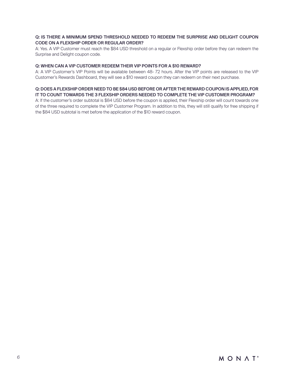# Q: IS THERE A MINIMUM SPEND THRESHOLD NEEDED TO REDEEM THE SURPRISE AND DELIGHT COUPON CODE ON A FLEXSHIP ORDER OR REGULAR ORDER?

A: Yes. A VIP Customer must reach the \$84 USD threshold on a regular or Flexship order before they can redeem the Surprise and Delight coupon code.

## Q: WHEN CAN A VIP CUSTOMER REDEEM THEIR VIP POINTS FOR A \$10 REWARD?

A: A VIP Customer's VIP Points will be available between 48- 72 hours. After the VIP points are released to the VIP Customer's Rewards Dashboard, they will see a \$10 reward coupon they can redeem on their next purchase.

#### Q: DOES A FLEXSHIP ORDER NEED TO BE \$84 USD BEFORE OR AFTER THE REWARD COUPON IS APPLIED, FOR IT TO COUNT TOWARDS THE 3 FLEXSHIP ORDERS NEEDED TO COMPLETE THE VIP CUSTOMER PROGRAM?

A: If the customer's order subtotal is \$84 USD before the coupon is applied, their Flexship order will count towards one of the three required to complete the VIP Customer Program. In addition to this, they will still qualify for free shipping if the \$84 USD subtotal is met before the application of the \$10 reward coupon.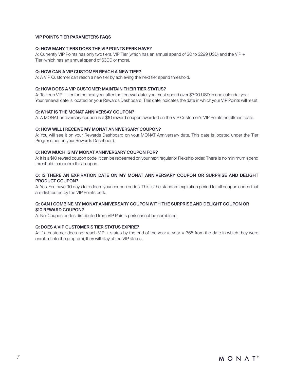#### VIP POINTS TIER PARAMETERS FAQS

## Q: HOW MANY TIERS DOES THE VIP POINTS PERK HAVE?

A: Currently VIP Points has only two tiers. VIP Tier (which has an annual spend of \$0 to \$299 USD) and the VIP + Tier (which has an annual spend of \$300 or more).

#### Q: HOW CAN A VIP CUSTOMER REACH A NEW TIER?

A: A VIP Customer can reach a new tier by achieving the next tier spend threshold.

#### Q: HOW DOES A VIP CUSTOMER MAINTAIN THEIR TIER STATUS?

A: To keep VIP + tier for the next year after the renewal date, you must spend over \$300 USD in one calendar year. Your renewal date is located on your Rewards Dashboard. This date indicates the date in which your VIP Points will reset.

#### Q: WHAT IS THE MONAT ANNIVERSAY COUPON?

A: A MONAT anniversary coupon is a \$10 reward coupon awarded on the VIP Customer's VIP Points enrollment date.

#### Q: HOW WILL I RECEIVE MY MONAT ANNIVERSARY COUPON?

A: You will see it on your Rewards Dashboard on your MONAT Anniversary date. This date is located under the Tier Progress bar on your Rewards Dashboard.

#### Q: HOW MUCH IS MY MONAT ANNIVERSARY COUPON FOR?

A: It is a \$10 reward coupon code. It can be redeemed on your next regular or Flexship order. There is no minimum spend threshold to redeem this coupon.

## Q: IS THERE AN EXPIRATION DATE ON MY MONAT ANNIVERSARY COUPON OR SURPRISE AND DELIGHT PRODUCT COUPON?

A: Yes. You have 90 days to redeem your coupon codes. This is the standard expiration period for all coupon codes that are distributed by the VIP Points perk.

## Q: CAN I COMBINE MY MONAT ANNIVERSARY COUPON WITH THE SURPRISE AND DELIGHT COUPON OR \$10 REWARD COUPON?

A: No. Coupon codes distributed from VIP Points perk cannot be combined.

#### Q: DOES A VIP CUSTOMER'S TIER STATUS EXPIRE?

A: If a customer does not reach VIP + status by the end of the year (a year = 365 from the date in which they were enrolled into the program), they will stay at the VIP status.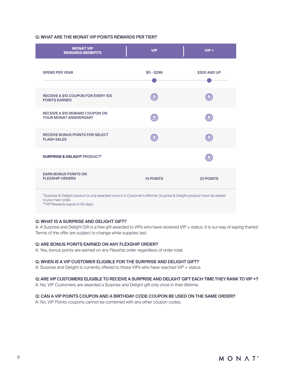# Q: WHAT ARE THE MONAT VIP POINTS REWARDS PER TIER?

| <b>MONAT VIP</b><br><b>REWARDS BENEFITS</b>                                                                                                                                    | <b>VIP</b>       | $VIP +$          |  |
|--------------------------------------------------------------------------------------------------------------------------------------------------------------------------------|------------------|------------------|--|
| <b>SPEND PER YEAR</b>                                                                                                                                                          | $$0 - $299$      | \$300 AND UP     |  |
| RECEIVE A \$10 COUPON FOR EVERY 100<br><b>POINTS EARNED</b>                                                                                                                    |                  |                  |  |
| <b>RECEIVE A \$10 REWARD COUPON ON</b><br>YOUR MONAT ANNIVERSARY                                                                                                               |                  |                  |  |
| <b>RECEIVE BONUS POINTS FOR SELECT</b><br><b>FLASH SALES</b>                                                                                                                   |                  |                  |  |
| <b>SURPRISE &amp; DELIGHT PRODUCT*</b>                                                                                                                                         |                  |                  |  |
| <b>EARN BONUS POINTS ON</b><br><b>FLEXSHIP ORDERS</b>                                                                                                                          | <b>10 POINTS</b> | <b>20 POINTS</b> |  |
| *Surprise & Delight product is only awarded once in a Customer's lifetime. Surprise & Delight product must be added<br>to your next order.<br>**VIP Rewards expire in 90 days. |                  |                  |  |

## Q: WHAT IS A SURPRISE AND DELIGHT GIFT?

A: A Surprise and Delight Gift is a free gift awarded to VIPs who have received VIP + status. It is our way of saying thanks! Terms of the offer are subject to change while supplies last.

#### Q: ARE BONUS POINTS EARNED ON ANY FLEXSHIP ORDER?

A: Yes, bonus points are earned on any Flexship order regardless of order total.

## Q: WHEN IS A VIP CUSTOMER ELIGIBLE FOR THE SURPRISE AND DELIGHT GIFT?

A: Surprise and Delight is currently offered to those VIPs who have reached VIP + status.

## Q: ARE VIP CUSTOMERS ELIGIBLE TO RECEIVE A SURPRISE AND DELIGHT GIFT EACH TIME THEY RANK TO VIP +?

A: No. VIP Customers are awarded a Surprise and Delight gift only once in their lifetime.

## Q: CAN A VIP POINTS COUPON AND A BIRTHDAY CODE COUPON BE USED ON THE SAME ORDER?

A: No. VIP Points coupons cannot be combined with any other coupon codes.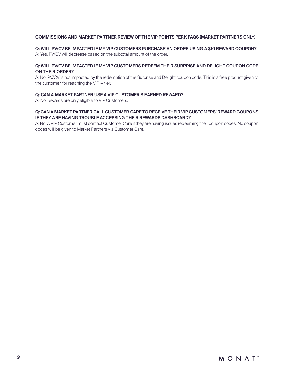# COMMISSIONS AND MARKET PARTNER REVIEW OF THE VIP POINTS PERK FAQS (MARKET PARTNERS ONLY)

Q: WILL PV/CV BE IMPACTED IF MY VIP CUSTOMERS PURCHASE AN ORDER USING A \$10 REWARD COUPON? A: Yes. PV/CV will decrease based on the subtotal amount of the order.

# Q: WILL PV/CV BE IMPACTED IF MY VIP CUSTOMERS REDEEM THEIR SURPRISE AND DELIGHT COUPON CODE ON THEIR ORDER?

A: No. PV/CV is not impacted by the redemption of the Surprise and Delight coupon code. This is a free product given to the customer, for reaching the  $VIP +$  tier.

## Q: CAN A MARKET PARTNER USE A VIP CUSTOMER'S EARNED REWARD?

A: No. rewards are only eligible to VIP Customers.

## Q: CAN A MARKET PARTNER CALL CUSTOMER CARE TO RECEIVE THEIR VIP CUSTOMERS' REWARD COUPONS IF THEY ARE HAVING TROUBLE ACCESSING THEIR REWARDS DASHBOARD?

A: No. A VIP Customer must contact Customer Care if they are having issues redeeming their coupon codes. No coupon codes will be given to Market Partners via Customer Care.